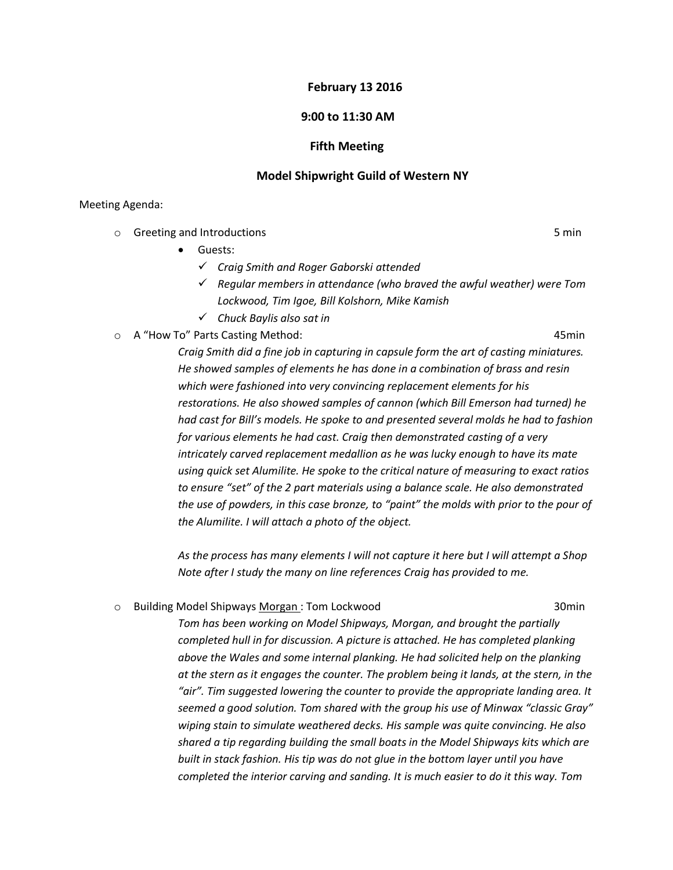### **February 13 2016**

## **9:00 to 11:30 AM**

## **Fifth Meeting**

#### **Model Shipwright Guild of Western NY**

#### Meeting Agenda:

- o Greeting and Introductions 5 min
	- **•** Guests:
		- *Craig Smith and Roger Gaborski attended*
		- *Regular members in attendance (who braved the awful weather) were Tom Lockwood, Tim Igoe, Bill Kolshorn, Mike Kamish*
		- *Chuck Baylis also sat in*
- o A "How To" Parts Casting Method: 45min

*Craig Smith did a fine job in capturing in capsule form the art of casting miniatures. He showed samples of elements he has done in a combination of brass and resin which were fashioned into very convincing replacement elements for his restorations. He also showed samples of cannon (which Bill Emerson had turned) he had cast for Bill's models. He spoke to and presented several molds he had to fashion for various elements he had cast. Craig then demonstrated casting of a very intricately carved replacement medallion as he was lucky enough to have its mate using quick set Alumilite. He spoke to the critical nature of measuring to exact ratios to ensure "set" of the 2 part materials using a balance scale. He also demonstrated the use of powders, in this case bronze, to "paint" the molds with prior to the pour of the Alumilite. I will attach a photo of the object.*

*As the process has many elements I will not capture it here but I will attempt a Shop Note after I study the many on line references Craig has provided to me.*

# o Building Model Shipways Morgan : Tom Lockwood 30min

*Tom has been working on Model Shipways, Morgan, and brought the partially completed hull in for discussion. A picture is attached. He has completed planking above the Wales and some internal planking. He had solicited help on the planking at the stern as it engages the counter. The problem being it lands, at the stern, in the "air". Tim suggested lowering the counter to provide the appropriate landing area. It seemed a good solution. Tom shared with the group his use of Minwax "classic Gray" wiping stain to simulate weathered decks. His sample was quite convincing. He also shared a tip regarding building the small boats in the Model Shipways kits which are built in stack fashion. His tip was do not glue in the bottom layer until you have completed the interior carving and sanding. It is much easier to do it this way. Tom*